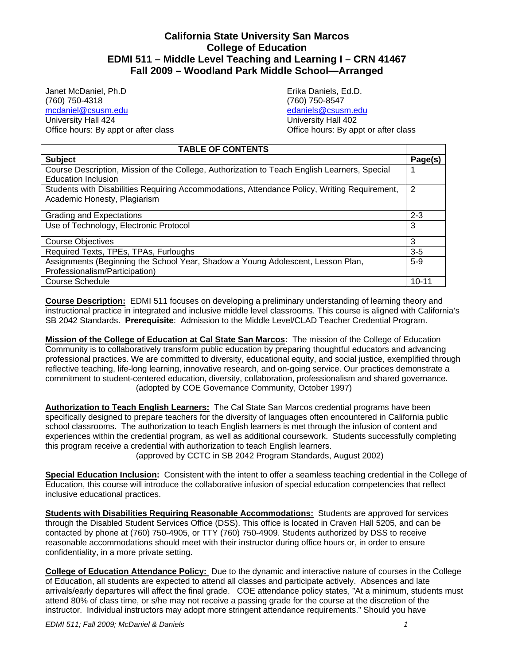# **California State University San Marcos College of Education EDMI 511 – Middle Level Teaching and Learning I – CRN 41467 Fall 2009 – Woodland Park Middle School—Arranged**

Janet McDaniel, Ph.D Erika Daniels, Ed.D. (760) 750-4318 (760) 750-8547 mcdaniel@csusm.edu University Hall 424 University Hall 402

Office hours: By appt or after class Office hours: By appt or after class

| <b>TABLE OF CONTENTS</b>                                                                     |           |  |
|----------------------------------------------------------------------------------------------|-----------|--|
| <b>Subject</b>                                                                               | Page(s)   |  |
| Course Description, Mission of the College, Authorization to Teach English Learners, Special |           |  |
| Education Inclusion                                                                          |           |  |
| Students with Disabilities Requiring Accommodations, Attendance Policy, Writing Requirement, | 2         |  |
| Academic Honesty, Plagiarism                                                                 |           |  |
|                                                                                              |           |  |
| Grading and Expectations                                                                     | $2 - 3$   |  |
| Use of Technology, Electronic Protocol                                                       |           |  |
|                                                                                              |           |  |
| <b>Course Objectives</b>                                                                     | 3         |  |
| Required Texts, TPEs, TPAs, Furloughs                                                        | $3 - 5$   |  |
| Assignments (Beginning the School Year, Shadow a Young Adolescent, Lesson Plan,              | $5-9$     |  |
| Professionalism/Participation)                                                               |           |  |
| <b>Course Schedule</b>                                                                       | $10 - 11$ |  |

**Course Description:** EDMI 511 focuses on developing a preliminary understanding of learning theory and instructional practice in integrated and inclusive middle level classrooms. This course is aligned with California's SB 2042 Standards. **Prerequisite**: Admission to the Middle Level/CLAD Teacher Credential Program.

**Mission of the College of Education at Cal State San Marcos:** The mission of the College of Education Community is to collaboratively transform public education by preparing thoughtful educators and advancing professional practices. We are committed to diversity, educational equity, and social justice, exemplified through reflective teaching, life-long learning, innovative research, and on-going service. Our practices demonstrate a commitment to student-centered education, diversity, collaboration, professionalism and shared governance. (adopted by COE Governance Community, October 1997)

 **Authorization to Teach English Learners:** The Cal State San Marcos credential programs have been specifically designed to prepare teachers for the diversity of languages often encountered in California public school classrooms. The authorization to teach English learners is met through the infusion of content and experiences within the credential program, as well as additional coursework. Students successfully completing this program receive a credential with authorization to teach English learners.

(approved by CCTC in SB 2042 Program Standards, August 2002)

**Special Education Inclusion:** Consistent with the intent to offer a seamless teaching credential in the College of Education, this course will introduce the collaborative infusion of special education competencies that reflect inclusive educational practices.

 **Students with Disabilities Requiring Reasonable Accommodations:** Students are approved for services through the Disabled Student Services Office (DSS). This office is located in Craven Hall 5205, and can be contacted by phone at (760) 750-4905, or TTY (760) 750-4909. Students authorized by DSS to receive reasonable accommodations should meet with their instructor during office hours or, in order to ensure confidentiality, in a more private setting.

**College of Education Attendance Policy:** Due to the dynamic and interactive nature of courses in the College of Education, all students are expected to attend all classes and participate actively. Absences and late arrivals/early departures will affect the final grade. COE attendance policy states, "At a minimum, students must attend 80% of class time, or s/he may not receive a passing grade for the course at the discretion of the instructor. Individual instructors may adopt more stringent attendance requirements." Should you have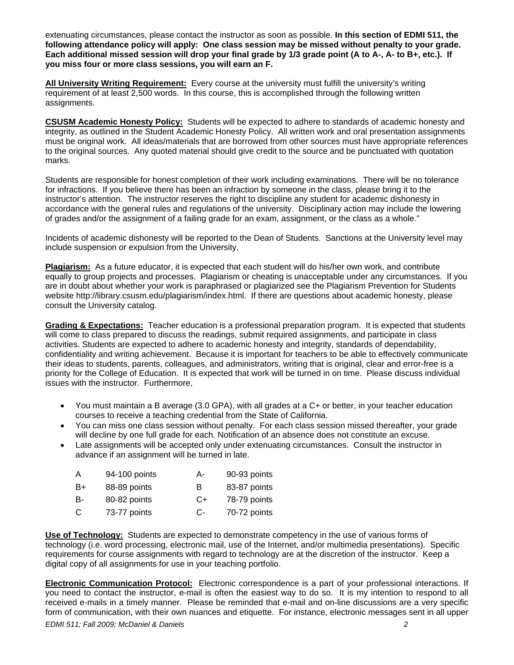extenuating circumstances, please contact the instructor as soon as possible. **In this section of EDMI 511, the following attendance policy will apply: One class session may be missed without penalty to your grade. Each additional missed session will drop your final grade by 1/3 grade point (A to A-, A- to B+, etc.). If you miss four or more class sessions, you will earn an F.** 

 **All University Writing Requirement:** Every course at the university must fulfill the university's writing requirement of at least 2,500 words. In this course, this is accomplished through the following written assignments.

 **CSUSM Academic Honesty Policy:** Students will be expected to adhere to standards of academic honesty and integrity, as outlined in the Student Academic Honesty Policy. All written work and oral presentation assignments must be original work. All ideas/materials that are borrowed from other sources must have appropriate references to the original sources. Any quoted material should give credit to the source and be punctuated with quotation marks.

Students are responsible for honest completion of their work including examinations. There will be no tolerance for infractions. If you believe there has been an infraction by someone in the class, please bring it to the instructor's attention. The instructor reserves the right to discipline any student for academic dishonesty in accordance with the general rules and regulations of the university. Disciplinary action may include the lowering of grades and/or the assignment of a failing grade for an exam, assignment, or the class as a whole."

Incidents of academic dishonesty will be reported to the Dean of Students. Sanctions at the University level may include suspension or expulsion from the University.

 **Plagiarism:** As a future educator, it is expected that each student will do his/her own work, and contribute equally to group projects and processes. Plagiarism or cheating is unacceptable under any circumstances. If you are in doubt about whether your work is paraphrased or plagiarized see the Plagiarism Prevention for Students website http://library.csusm.edu/plagiarism/index.html. If there are questions about academic honesty, please consult the University catalog.

**Grading & Expectations:** Teacher education is a professional preparation program. It is expected that students will come to class prepared to discuss the readings, submit required assignments, and participate in class activities. Students are expected to adhere to academic honesty and integrity, standards of dependability, confidentiality and writing achievement. Because it is important for teachers to be able to effectively communicate their ideas to students, parents, colleagues, and administrators, writing that is original, clear and error-free is a priority for the College of Education. It is expected that work will be turned in on time. Please discuss individual issues with the instructor. Furthermore,

- You must maintain a B average (3.0 GPA), with all grades at a C+ or better, in your teacher education courses to receive a teaching credential from the State of California.
- You can miss one class session without penalty. For each class session missed thereafter, your grade will decline by one full grade for each. Notification of an absence does not constitute an excuse.
- Late assignments will be accepted only under extenuating circumstances. Consult the instructor in advance if an assignment will be turned in late.

| A  | 94-100 points | А- | 90-93 points |
|----|---------------|----|--------------|
| B+ | 88-89 points  | в  | 83-87 points |
| B- | 80-82 points  | C+ | 78-79 points |
| C  | 73-77 points  | C- | 70-72 points |

**Use of Technology:** Students are expected to demonstrate competency in the use of various forms of technology (i.e. word processing, electronic mail, use of the Internet, and/or multimedia presentations). Specific requirements for course assignments with regard to technology are at the discretion of the instructor. Keep a digital copy of all assignments for use in your teaching portfolio.

 **Electronic Communication Protocol:** Electronic correspondence is a part of your professional interactions. If you need to contact the instructor, e-mail is often the easiest way to do so. It is my intention to respond to all received e-mails in a timely manner. Please be reminded that e-mail and on-line discussions are a very specific form of communication, with their own nuances and etiquette. For instance, electronic messages sent in all upper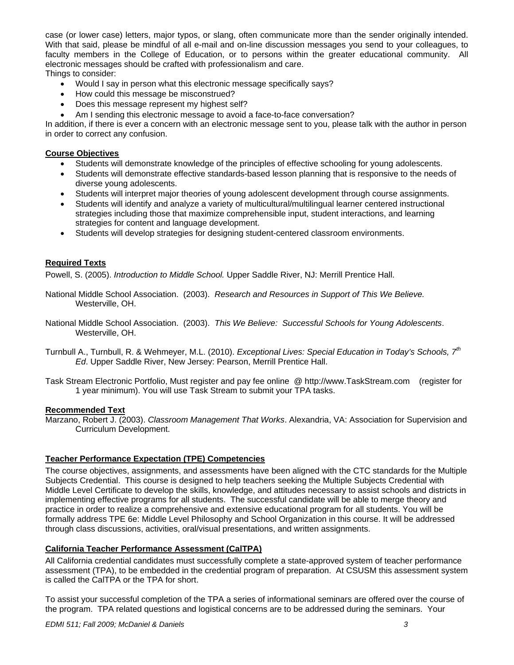case (or lower case) letters, major typos, or slang, often communicate more than the sender originally intended. With that said, please be mindful of all e-mail and on-line discussion messages you send to your colleagues, to faculty members in the College of Education, or to persons within the greater educational community. All electronic messages should be crafted with professionalism and care.

Things to consider:

- Would I say in person what this electronic message specifically says?
- How could this message be misconstrued?
- Does this message represent my highest self?
- Am I sending this electronic message to avoid a face-to-face conversation?

In addition, if there is ever a concern with an electronic message sent to you, please talk with the author in person in order to correct any confusion.

#### **Course Objectives**

- Students will demonstrate knowledge of the principles of effective schooling for young adolescents.
- Students will demonstrate effective standards-based lesson planning that is responsive to the needs of diverse young adolescents.
- Students will interpret major theories of young adolescent development through course assignments.
- Students will identify and analyze a variety of multicultural/multilingual learner centered instructional strategies including those that maximize comprehensible input, student interactions, and learning strategies for content and language development.
- Students will develop strategies for designing student-centered classroom environments.

### **Required Texts**

Powell, S. (2005). *Introduction to Middle School.* Upper Saddle River, NJ: Merrill Prentice Hall.

- National Middle School Association. (2003). *Research and Resources in Support of This We Believe.* Westerville, OH.
- National Middle School Association. (2003). *This We Believe: Successful Schools for Young Adolescents*. Westerville, OH.
- Turnbull A., Turnbull, R. & Wehmeyer, M.L. (2010). *Exceptional Lives: Special Education in Today's Schools, 7th Ed*. Upper Saddle River, New Jersey: Pearson, Merrill Prentice Hall.
- Task Stream Electronic Portfolio, Must register and pay fee online @ http://www.TaskStream.com (register for 1 year minimum). You will use Task Stream to submit your TPA tasks.

#### **Recommended Text**

Marzano, Robert J. (2003). *Classroom Management That Works*. Alexandria, VA: Association for Supervision and Curriculum Development.

#### **Teacher Performance Expectation (TPE) Competencies**

The course objectives, assignments, and assessments have been aligned with the CTC standards for the Multiple Subjects Credential. This course is designed to help teachers seeking the Multiple Subjects Credential with Middle Level Certificate to develop the skills, knowledge, and attitudes necessary to assist schools and districts in implementing effective programs for all students. The successful candidate will be able to merge theory and practice in order to realize a comprehensive and extensive educational program for all students. You will be formally address TPE 6e: Middle Level Philosophy and School Organization in this course. It will be addressed through class discussions, activities, oral/visual presentations, and written assignments.

#### **California Teacher Performance Assessment (CalTPA)**

All California credential candidates must successfully complete a state-approved system of teacher performance assessment (TPA), to be embedded in the credential program of preparation. At CSUSM this assessment system is called the CalTPA or the TPA for short.

To assist your successful completion of the TPA a series of informational seminars are offered over the course of the program. TPA related questions and logistical concerns are to be addressed during the seminars. Your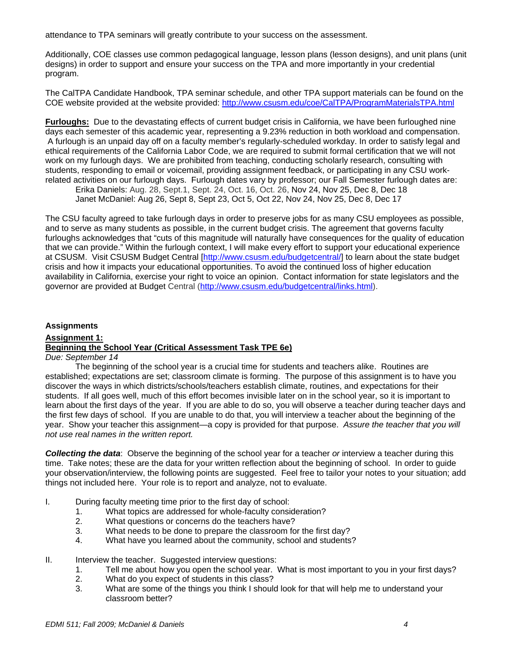attendance to TPA seminars will greatly contribute to your success on the assessment.

Additionally, COE classes use common pedagogical language, lesson plans (lesson designs), and unit plans (unit designs) in order to support and ensure your success on the TPA and more importantly in your credential program.

The CalTPA Candidate Handbook, TPA seminar schedule, and other TPA support materials can be found on the COE website provided at the website provided: http://www.csusm.edu/coe/CalTPA/ProgramMaterialsTPA.html

**Furloughs:** Due to the devastating effects of current budget crisis in California, we have been furloughed nine days each semester of this academic year, representing a 9.23% reduction in both workload and compensation. A furlough is an unpaid day off on a faculty member's regularly-scheduled workday. In order to satisfy legal and ethical requirements of the California Labor Code, we are required to submit formal certification that we will not work on my furlough days. We are prohibited from teaching, conducting scholarly research, consulting with students, responding to email or voicemail, providing assignment feedback, or participating in any CSU workrelated activities on our furlough days. Furlough dates vary by professor; our Fall Semester furlough dates are:

Erika Daniels: Aug. 28, Sept.1, Sept. 24, Oct. 16, Oct. 26, Nov 24, Nov 25, Dec 8, Dec 18 Janet McDaniel: Aug 26, Sept 8, Sept 23, Oct 5, Oct 22, Nov 24, Nov 25, Dec 8, Dec 17

The CSU faculty agreed to take furlough days in order to preserve jobs for as many CSU employees as possible, and to serve as many students as possible, in the current budget crisis. The agreement that governs faculty furloughs acknowledges that "cuts of this magnitude will naturally have consequences for the quality of education that we can provide." Within the furlough context, I will make every effort to support your educational experience at CSUSM. Visit CSUSM Budget Central [http://www.csusm.edu/budgetcentral/] to learn about the state budget crisis and how it impacts your educational opportunities. To avoid the continued loss of higher education availability in California, exercise your right to voice an opinion. Contact information for state legislators and the governor are provided at Budget Central (http://www.csusm.edu/budgetcentral/links.html).

## **Assignments Assignment 1: Beginning the School Year (Critical Assessment Task TPE 6e)**

#### *Due: September 14*

The beginning of the school year is a crucial time for students and teachers alike. Routines are established; expectations are set; classroom climate is forming. The purpose of this assignment is to have you discover the ways in which districts/schools/teachers establish climate, routines, and expectations for their students. If all goes well, much of this effort becomes invisible later on in the school year, so it is important to learn about the first days of the year. If you are able to do so, you will observe a teacher during teacher days and the first few days of school. If you are unable to do that, you will interview a teacher about the beginning of the year. Show your teacher this assignment—a copy is provided for that purpose. *Assure the teacher that you will not use real names in the written report.* 

*Collecting the data*: Observe the beginning of the school year for a teacher *or* interview a teacher during this time. Take notes; these are the data for your written reflection about the beginning of school. In order to guide your observation/interview, the following points are suggested. Feel free to tailor your notes to your situation; add things not included here. Your role is to report and analyze, not to evaluate.

- I. During faculty meeting time prior to the first day of school:
	- 1. What topics are addressed for whole-faculty consideration?
	- 2. What questions or concerns do the teachers have?
	- 3. What needs to be done to prepare the classroom for the first day?
	- 4. What have you learned about the community, school and students?
- II. Interview the teacher. Suggested interview questions:
	- 1. Tell me about how you open the school year. What is most important to you in your first days?
	- 2. What do you expect of students in this class?
	- 3. What are some of the things you think I should look for that will help me to understand your classroom better?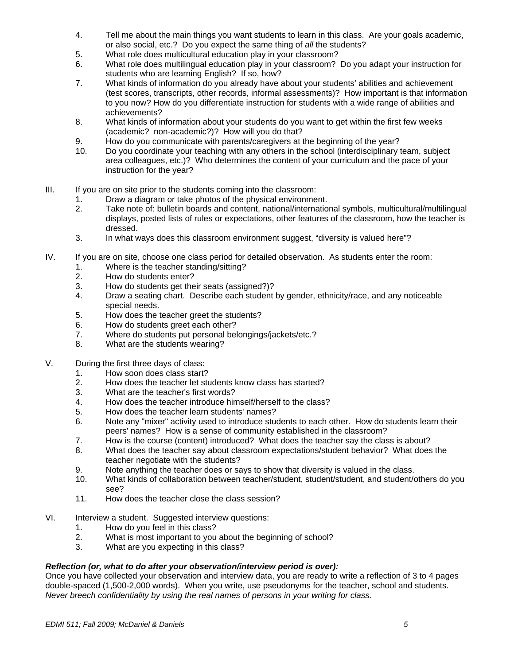- 4. Tell me about the main things you want students to learn in this class. Are your goals academic, or also social, etc.? Do you expect the same thing of *all* the students?
- 5. What role does multicultural education play in your classroom?
- 6. What role does multilingual education play in your classroom? Do you adapt your instruction for students who are learning English? If so, how?
- 7. What kinds of information do you already have about your students' abilities and achievement (test scores, transcripts, other records, informal assessments)? How important is that information to you now? How do you differentiate instruction for students with a wide range of abilities and achievements?
- 8. What kinds of information about your students do you want to get within the first few weeks (academic? non-academic?)? How will you do that?
- 9. How do you communicate with parents/caregivers at the beginning of the year?
- 10. Do you coordinate your teaching with any others in the school (interdisciplinary team, subject area colleagues, etc.)? Who determines the content of your curriculum and the pace of your instruction for the year?
- III. If you are on site prior to the students coming into the classroom:
	- 1. Draw a diagram or take photos of the physical environment.
	- 2. Take note of: bulletin boards and content, national/international symbols, multicultural/multilingual displays, posted lists of rules or expectations, other features of the classroom, how the teacher is dressed.
	- 3. In what ways does this classroom environment suggest, "diversity is valued here"?
- IV. If you are on site, choose one class period for detailed observation. As students enter the room:
	- 1. Where is the teacher standing/sitting?<br>2. How do students enter?
	- How do students enter?
	- 3. How do students get their seats (assigned?)?
	- 4. Draw a seating chart. Describe each student by gender, ethnicity/race, and any noticeable special needs.
	- 5. How does the teacher greet the students?
	- 6. How do students greet each other?
	- 7. Where do students put personal belongings/jackets/etc.?
	- 8. What are the students wearing?
- V. During the first three days of class:
	- 1. How soon does class start?
	- 2. How does the teacher let students know class has started?
	- 3. What are the teacher's first words?
	- 4. How does the teacher introduce himself/herself to the class?<br>5. How does the teacher learn students' names?
	- 5. How does the teacher learn students' names?
	- 6. Note any "mixer" activity used to introduce students to each other. How do students learn their peers' names? How is a sense of community established in the classroom?
	- 7. How is the course (content) introduced? What does the teacher say the class is about?
	- 8. What does the teacher say about classroom expectations/student behavior? What does the teacher negotiate with the students?
	- 9. Note anything the teacher does or says to show that diversity is valued in the class.
	- 10. What kinds of collaboration between teacher/student, student/student, and student/others do you see?
	- 11. How does the teacher close the class session?
- VI. Interview a student. Suggested interview questions:
	- 1. How do you feel in this class?
	- 2. What is most important to you about the beginning of school?
	- 3. What are you expecting in this class?

## *Reflection (or, what to do after your observation/interview period is over):*

Once you have collected your observation and interview data, you are ready to write a reflection of 3 to 4 pages double-spaced (1,500-2,000 words). When you write, use pseudonyms for the teacher, school and students. *Never breech confidentiality by using the real names of persons in your writing for class.*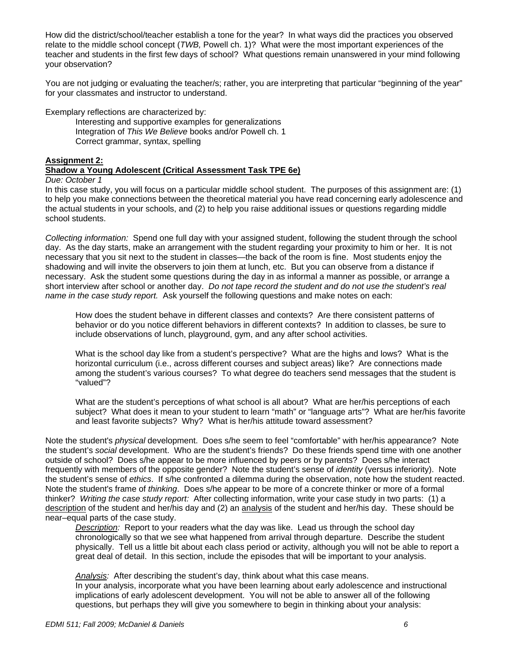How did the district/school/teacher establish a tone for the year? In what ways did the practices you observed relate to the middle school concept (*TWB,* Powell ch. 1)? What were the most important experiences of the teacher and students in the first few days of school? What questions remain unanswered in your mind following your observation?

You are not judging or evaluating the teacher/s; rather, you are interpreting that particular "beginning of the year" for your classmates and instructor to understand.

Exemplary reflections are characterized by:

Interesting and supportive examples for generalizations Integration of *This We Believe* books and/or Powell ch. 1 Correct grammar, syntax, spelling

#### **Assignment 2:**

#### **Shadow a Young Adolescent (Critical Assessment Task TPE 6e)**

#### *Due: October 1*

In this case study, you will focus on a particular middle school student. The purposes of this assignment are: (1) to help you make connections between the theoretical material you have read concerning early adolescence and the actual students in your schools, and (2) to help you raise additional issues or questions regarding middle school students.

*Collecting information:* Spend one full day with your assigned student, following the student through the school day. As the day starts, make an arrangement with the student regarding your proximity to him or her. It is not necessary that you sit next to the student in classes—the back of the room is fine. Most students enjoy the shadowing and will invite the observers to join them at lunch, etc. But you can observe from a distance if necessary. Ask the student some questions during the day in as informal a manner as possible, or arrange a short interview after school or another day. *Do not tape record the student and do not use the student's real name in the case study report.* Ask yourself the following questions and make notes on each:

How does the student behave in different classes and contexts? Are there consistent patterns of behavior or do you notice different behaviors in different contexts? In addition to classes, be sure to include observations of lunch, playground, gym, and any after school activities.

What is the school day like from a student's perspective? What are the highs and lows? What is the horizontal curriculum (i.e., across different courses and subject areas) like? Are connections made among the student's various courses? To what degree do teachers send messages that the student is "valued"?

What are the student's perceptions of what school is all about? What are her/his perceptions of each subject? What does it mean to your student to learn "math" or "language arts"? What are her/his favorite and least favorite subjects? Why? What is her/his attitude toward assessment?

Note the student's *physical* development. Does s/he seem to feel "comfortable" with her/his appearance? Note the student's *social* development. Who are the student's friends? Do these friends spend time with one another outside of school? Does s/he appear to be more influenced by peers or by parents? Does s/he interact frequently with members of the opposite gender? Note the student's sense of *identity* (versus inferiority). Note the student's sense of *ethics*. If s/he confronted a dilemma during the observation, note how the student reacted. Note the student's frame of *thinking*. Does s/he appear to be more of a concrete thinker or more of a formal thinker? *Writing the case study report:* After collecting information, write your case study in two parts: (1) a description of the student and her/his day and (2) an analysis of the student and her/his day. These should be near–equal parts of the case study.

 great deal of detail. In this section, include the episodes that will be important to your analysis. *Description:* Report to your readers what the day was like. Lead us through the school day chronologically so that we see what happened from arrival through departure. Describe the student physically. Tell us a little bit about each class period or activity, although you will not be able to report a

*Analysis:* After describing the student's day, think about what this case means. In your analysis, incorporate what you have been learning about early adolescence and instructional implications of early adolescent development. You will not be able to answer all of the following questions, but perhaps they will give you somewhere to begin in thinking about your analysis: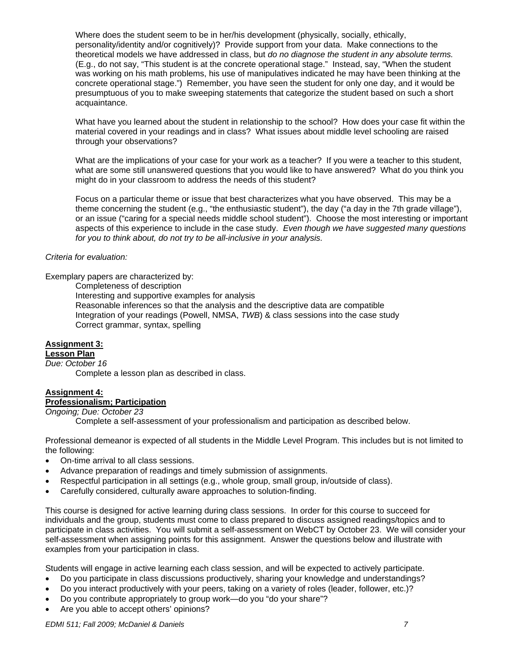Where does the student seem to be in her/his development (physically, socially, ethically, personality/identity and/or cognitively)? Provide support from your data. Make connections to the theoretical models we have addressed in class, but *do no diagnose the student in any absolute terms.*  (E.g., do not say, "This student is at the concrete operational stage." Instead, say, "When the student was working on his math problems, his use of manipulatives indicated he may have been thinking at the concrete operational stage.") Remember, you have seen the student for only one day, and it would be presumptuous of you to make sweeping statements that categorize the student based on such a short acquaintance.

What have you learned about the student in relationship to the school? How does your case fit within the material covered in your readings and in class? What issues about middle level schooling are raised through your observations?

What are the implications of your case for your work as a teacher? If you were a teacher to this student, what are some still unanswered questions that you would like to have answered? What do you think you might do in your classroom to address the needs of this student?

Focus on a particular theme or issue that best characterizes what you have observed. This may be a theme concerning the student (e.g., "the enthusiastic student"), the day ("a day in the 7th grade village"), or an issue ("caring for a special needs middle school student"). Choose the most interesting or important aspects of this experience to include in the case study. *Even though we have suggested many questions for you to think about, do not try to be all-inclusive in your analysis.* 

#### *Criteria for evaluation:*

Exemplary papers are characterized by:

Completeness of description

Interesting and supportive examples for analysis

Reasonable inferences so that the analysis and the descriptive data are compatible Integration of your readings (Powell, NMSA, *TWB*) & class sessions into the case study Correct grammar, syntax, spelling

## **Assignment 3:**

#### **Lesson Plan**

*Due: October 16* 

Complete a lesson plan as described in class.

## **Assignment 4:**

## **Professionalism; Participation**

*Ongoing; Due: October 23* 

Complete a self-assessment of your professionalism and participation as described below.

Professional demeanor is expected of all students in the Middle Level Program. This includes but is not limited to the following:

- On-time arrival to all class sessions.
- Advance preparation of readings and timely submission of assignments.
- Respectful participation in all settings (e.g., whole group, small group, in/outside of class).
- Carefully considered, culturally aware approaches to solution-finding.

This course is designed for active learning during class sessions. In order for this course to succeed for individuals and the group, students must come to class prepared to discuss assigned readings/topics and to participate in class activities. You will submit a self-assessment on WebCT by October 23. We will consider your self-assessment when assigning points for this assignment. Answer the questions below and illustrate with examples from your participation in class.

Students will engage in active learning each class session, and will be expected to actively participate.

- Do you participate in class discussions productively, sharing your knowledge and understandings?
- Do you interact productively with your peers, taking on a variety of roles (leader, follower, etc.)?
- Do you contribute appropriately to group work—do you "do your share"?
- Are you able to accept others' opinions?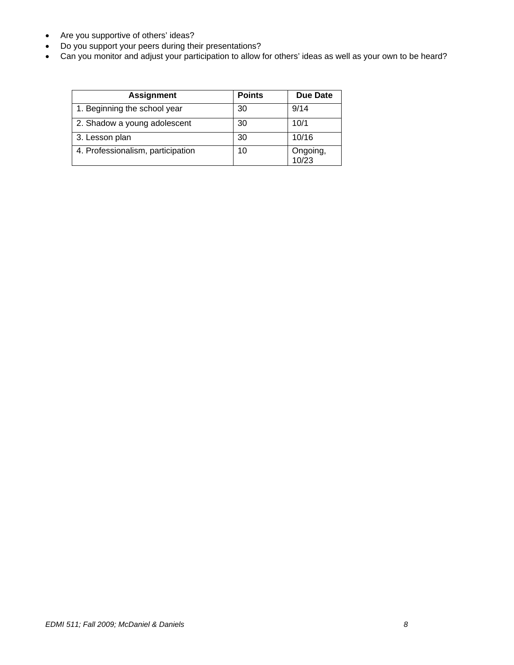- Are you supportive of others' ideas?
- Do you support your peers during their presentations?
- Can you monitor and adjust your participation to allow for others' ideas as well as your own to be heard?

| <b>Assignment</b>                 | <b>Points</b> | <b>Due Date</b>   |
|-----------------------------------|---------------|-------------------|
| 1. Beginning the school year      | 30            | 9/14              |
| 2. Shadow a young adolescent      | 30            | 10/1              |
| 3. Lesson plan                    | 30            | 10/16             |
| 4. Professionalism, participation | 10            | Ongoing,<br>10/23 |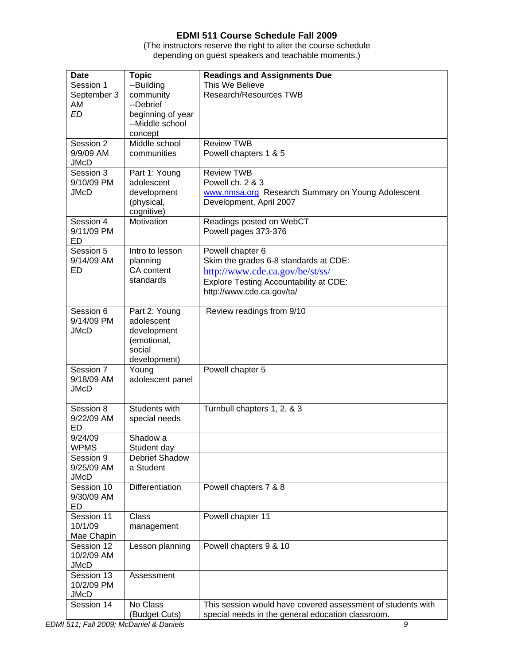# **EDMI 511 Course Schedule Fall 2009**

(The instructors reserve the right to alter the course schedule depending on guest speakers and teachable moments.)

| <b>Date</b>               | <b>Topic</b>              | <b>Readings and Assignments Due</b>                         |
|---------------------------|---------------------------|-------------------------------------------------------------|
| Session 1                 | --Building                | This We Believe                                             |
| September 3               | community                 | Research/Resources TWB                                      |
| AM                        | --Debrief                 |                                                             |
| <b>ED</b>                 | beginning of year         |                                                             |
|                           | --Middle school           |                                                             |
|                           | concept                   |                                                             |
| Session 2                 | Middle school             | <b>Review TWB</b>                                           |
| 9/9/09 AM                 | communities               | Powell chapters 1 & 5                                       |
| <b>JMcD</b><br>Session 3  |                           |                                                             |
| 9/10/09 PM                | Part 1: Young             | <b>Review TWB</b><br>Powell ch. 2 & 3                       |
| <b>JMcD</b>               | adolescent<br>development | www.nmsa.org Research Summary on Young Adolescent           |
|                           | (physical,                | Development, April 2007                                     |
|                           | cognitive)                |                                                             |
| Session 4                 | Motivation                | Readings posted on WebCT                                    |
| 9/11/09 PM                |                           | Powell pages 373-376                                        |
| ED                        |                           |                                                             |
| Session 5                 | Intro to lesson           | Powell chapter 6                                            |
| 9/14/09 AM                | planning                  | Skim the grades 6-8 standards at CDE:                       |
| ED                        | CA content                | http://www.cde.ca.gov/be/st/ss/                             |
|                           | standards                 | <b>Explore Testing Accountability at CDE:</b>               |
|                           |                           | http://www.cde.ca.gov/ta/                                   |
|                           |                           |                                                             |
| Session 6                 | Part 2: Young             | Review readings from 9/10                                   |
| 9/14/09 PM                | adolescent                |                                                             |
| <b>JMcD</b>               | development               |                                                             |
|                           | (emotional,               |                                                             |
|                           | social                    |                                                             |
|                           | development)              |                                                             |
| Session 7                 | Young                     | Powell chapter 5                                            |
| 9/18/09 AM                | adolescent panel          |                                                             |
| <b>JMcD</b>               |                           |                                                             |
| Session 8                 | Students with             | Turnbull chapters 1, 2, & 3                                 |
| 9/22/09 AM                | special needs             |                                                             |
| ED                        |                           |                                                             |
| 9/24/09                   | Shadow a                  |                                                             |
| <b>WPMS</b>               | Student day               |                                                             |
| Session 9                 | Debrief Shadow            |                                                             |
| 9/25/09 AM                | a Student                 |                                                             |
| <b>JMcD</b>               |                           |                                                             |
| Session 10                | Differentiation           | Powell chapters 7 & 8                                       |
| 9/30/09 AM                |                           |                                                             |
| ED                        |                           |                                                             |
| Session 11                | <b>Class</b>              | Powell chapter 11                                           |
| 10/1/09                   | management                |                                                             |
| Mae Chapin                |                           |                                                             |
| Session 12                | Lesson planning           | Powell chapters 9 & 10                                      |
| 10/2/09 AM                |                           |                                                             |
| <b>JMcD</b><br>Session 13 |                           |                                                             |
| 10/2/09 PM                | Assessment                |                                                             |
| <b>JMcD</b>               |                           |                                                             |
| Session 14                | No Class                  | This session would have covered assessment of students with |
|                           | (Budget Cuts)             | special needs in the general education classroom.           |